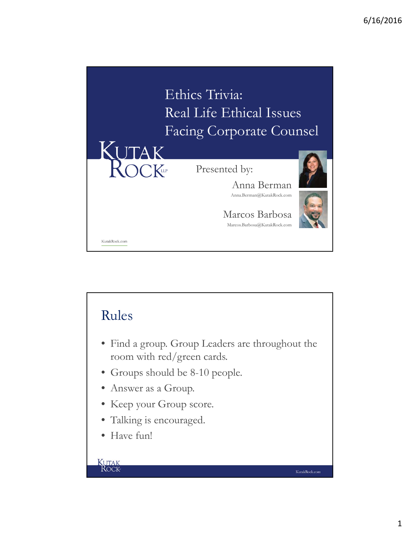

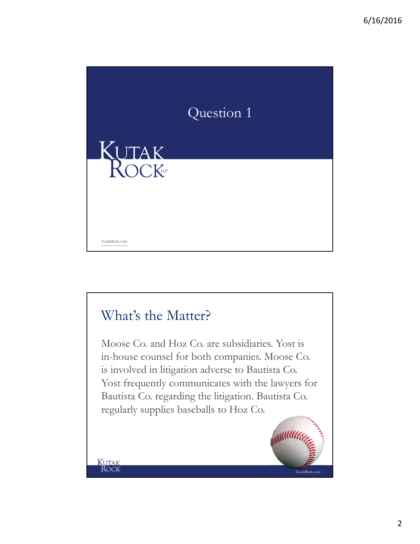

#### What's the Matter?

**KUTAK**<br>ROCK

Moose Co. and Hoz Co. are subsidiaries. Yost is in-house counsel for both companies. Moose Co. is involved in litigation adverse to Bautista Co. Yost frequently communicates with the lawyers for Bautista Co. regarding the litigation. Bautista Co. regularly supplies baseballs to Hoz Co.



2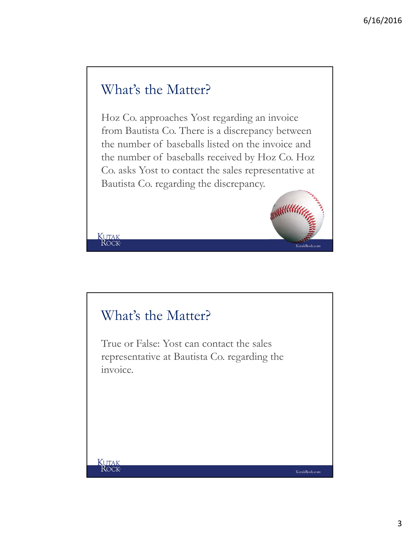#### What's the Matter?

Hoz Co. approaches Yost regarding an invoice from Bautista Co. There is a discrepancy between the number of baseballs listed on the invoice and the number of baseballs received by Hoz Co. Hoz Co. asks Yost to contact the sales representative at Bautista Co. regarding the discrepancy.

#### What's the Matter?

True or False: Yost can contact the sales representative at Bautista Co. regarding the invoice.

KUTAK

KutakRock.com

**Allin** 

KutakRock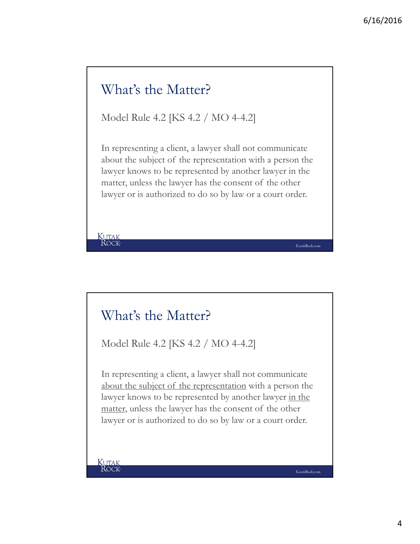# What's the Matter? Model Rule 4.2 [KS 4.2 / MO 4-4.2]

In representing a client, a lawyer shall not communicate about the subject of the representation with a person the lawyer knows to be represented by another lawyer in the matter, unless the lawyer has the consent of the other lawyer or is authorized to do so by law or a court order.

#### What's the Matter?

Model Rule 4.2 [KS 4.2 / MO 4-4.2]

In representing a client, a lawyer shall not communicate about the subject of the representation with a person the lawyer knows to be represented by another lawyer in the matter, unless the lawyer has the consent of the other lawyer or is authorized to do so by law or a court order.

KUTAK

**KUTAK**<br>ROCK

KutakRock.com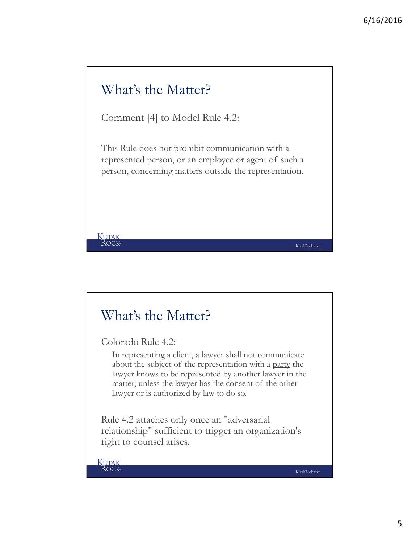#### What's the Matter?

Comment [4] to Model Rule 4.2:

This Rule does not prohibit communication with a represented person, or an employee or agent of such a person, concerning matters outside the representation.

#### What's the Matter?

Colorado Rule 4.2:

In representing a client, a lawyer shall not communicate about the subject of the representation with a party the lawyer knows to be represented by another lawyer in the matter, unless the lawyer has the consent of the other lawyer or is authorized by law to do so.

Rule 4.2 attaches only once an "adversarial relationship" sufficient to trigger an organization's right to counsel arises.

**KUTAK**<br>ROCK

**KUTAK**<br>ROCK

KutakRock.com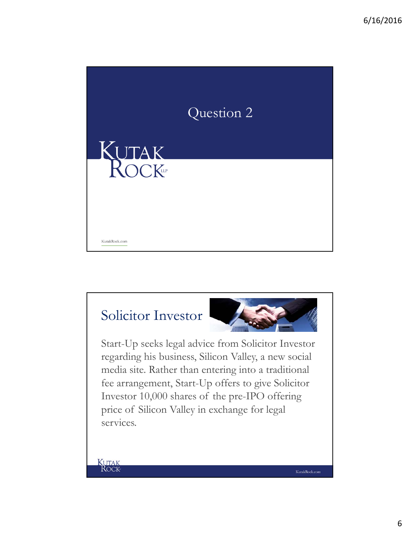

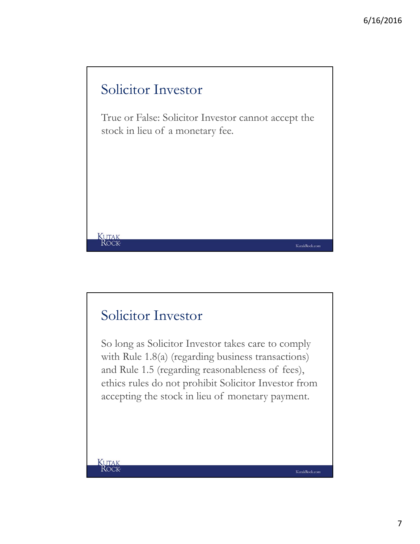

#### Solicitor Investor

So long as Solicitor Investor takes care to comply with Rule 1.8(a) (regarding business transactions) and Rule 1.5 (regarding reasonableness of fees), ethics rules do not prohibit Solicitor Investor from accepting the stock in lieu of monetary payment.

**KUTAK**<br>ROCK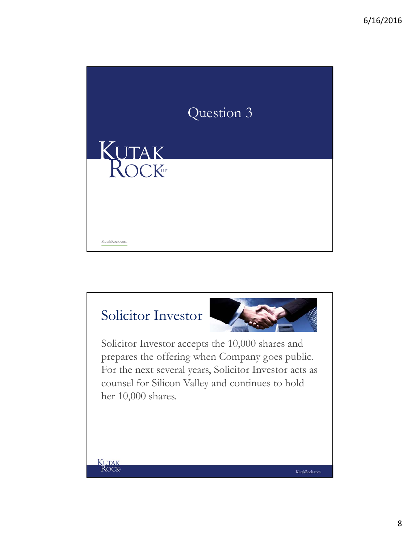

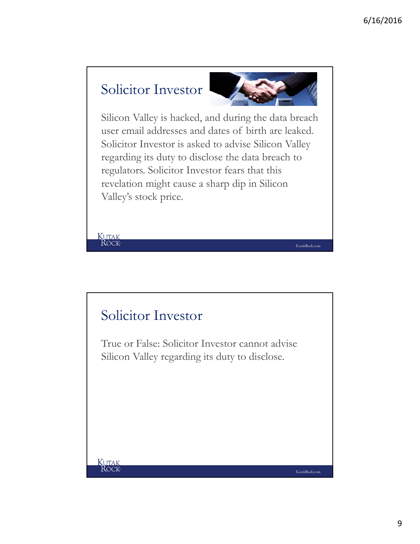#### Solicitor Investor

**KUTAK**<br>ROCK



KutakRock.com

Silicon Valley is hacked, and during the data breach user email addresses and dates of birth are leaked. Solicitor Investor is asked to advise Silicon Valley regarding its duty to disclose the data breach to regulators. Solicitor Investor fears that this revelation might cause a sharp dip in Silicon Valley's stock price.

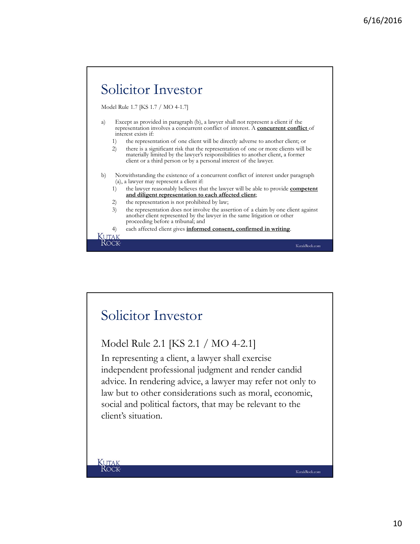

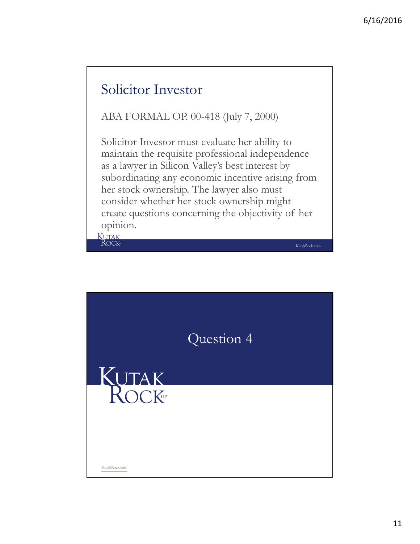#### Solicitor Investor

ABA FORMAL OP. 00-418 (July 7, 2000)

Solicitor Investor must evaluate her ability to maintain the requisite professional independence as a lawyer in Silicon Valley's best interest by subordinating any economic incentive arising from her stock ownership. The lawyer also must consider whether her stock ownership might create questions concerning the objectivity of her opinion.

KutakRock.com

**KUTAK**<br>ROCK

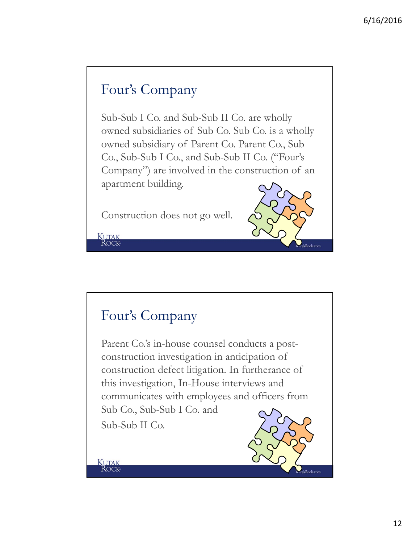#### Four's Company

Sub-Sub I Co. and Sub-Sub II Co. are wholly owned subsidiaries of Sub Co. Sub Co. is a wholly owned subsidiary of Parent Co. Parent Co., Sub Co., Sub-Sub I Co., and Sub-Sub II Co. ("Four's Company") are involved in the construction of an apartment building.

Construction does not go well.



#### Four's Company

**KUTAK**<br>ROCK

Kutak<br>Rock

Parent Co.'s in-house counsel conducts a postconstruction investigation in anticipation of construction defect litigation. In furtherance of this investigation, In-House interviews and communicates with employees and officers from Sub Co., Sub-Sub I Co. and Sub-Sub II Co.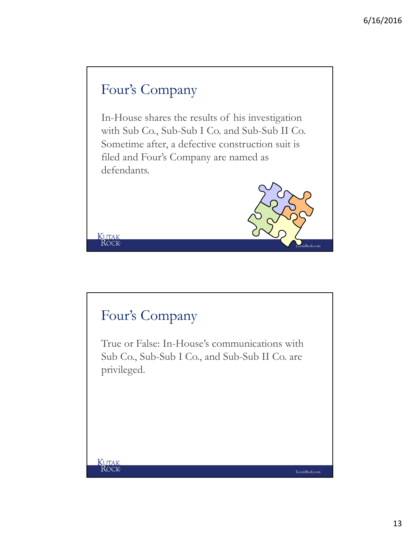## Four's Company

In-House shares the results of his investigation with Sub Co., Sub-Sub I Co. and Sub-Sub II Co. Sometime after, a defective construction suit is filed and Four's Company are named as defendants.

#### Four's Company

KUTAK

**KUTAK**<br>ROCK

True or False: In-House's communications with Sub Co., Sub-Sub I Co., and Sub-Sub II Co. are privileged.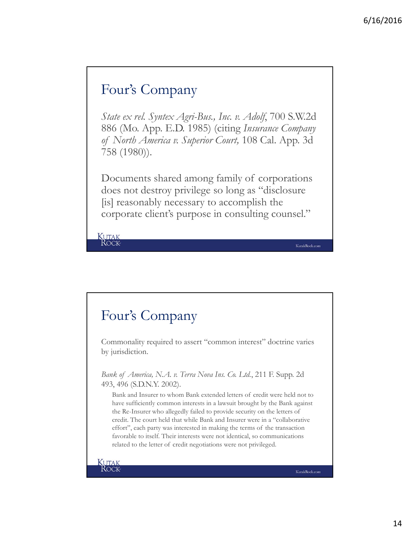#### Four's Company

*State ex rel. Syntex Agri-Bus., Inc. v. Adolf*, 700 S.W.2d 886 (Mo. App. E.D. 1985) (citing *Insurance Company of North America v. Superior Court,* 108 Cal. App. 3d 758 (1980)).

Documents shared among family of corporations does not destroy privilege so long as "disclosure [is] reasonably necessary to accomplish the corporate client's purpose in consulting counsel."

KUTAK<br>ROCK

#### Four's Company

Commonality required to assert "common interest" doctrine varies by jurisdiction.

*Bank of America, N.A. v. Terra Nova Ins. Co. Ltd.*, 211 F. Supp. 2d 493, 496 (S.D.N.Y. 2002).

Bank and Insurer to whom Bank extended letters of credit were held not to have sufficiently common interests in a lawsuit brought by the Bank against the Re-Insurer who allegedly failed to provide security on the letters of credit. The court held that while Bank and Insurer were in a "collaborative effort", each party was interested in making the terms of the transaction favorable to itself. Their interests were not identical, so communications related to the letter of credit negotiations were not privileged.

**KUTAK**<br>ROCK

KutakRock.com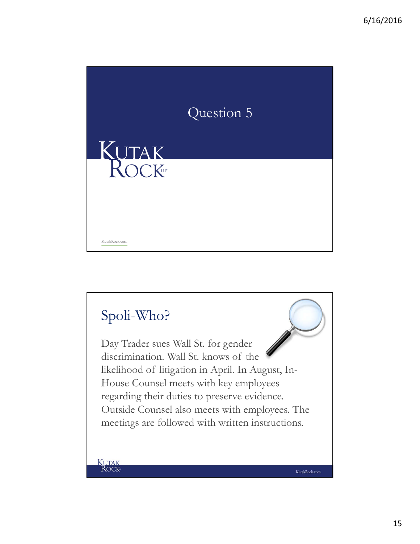

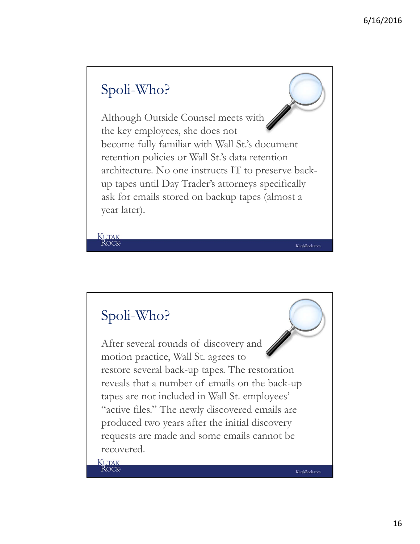#### Spoli-Who?

Although Outside Counsel meets with the key employees, she does not become fully familiar with Wall St.'s document retention policies or Wall St.'s data retention architecture. No one instructs IT to preserve backup tapes until Day Trader's attorneys specifically ask for emails stored on backup tapes (almost a year later).

#### Spoli-Who?

**KUTAK**<br>ROCK

After several rounds of discovery and motion practice, Wall St. agrees to restore several back-up tapes. The restoration reveals that a number of emails on the back-up tapes are not included in Wall St. employees' "active files." The newly discovered emails are produced two years after the initial discovery requests are made and some emails cannot be recovered.

**KUTAK**<br>ROCK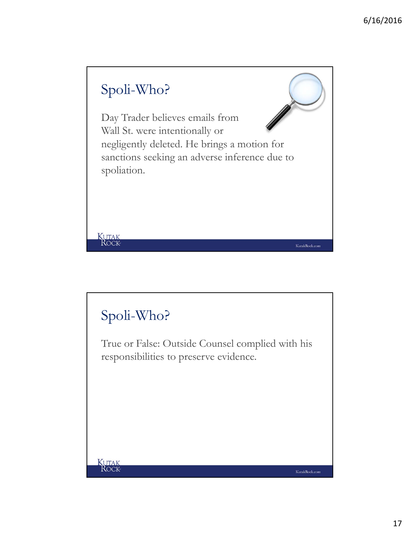

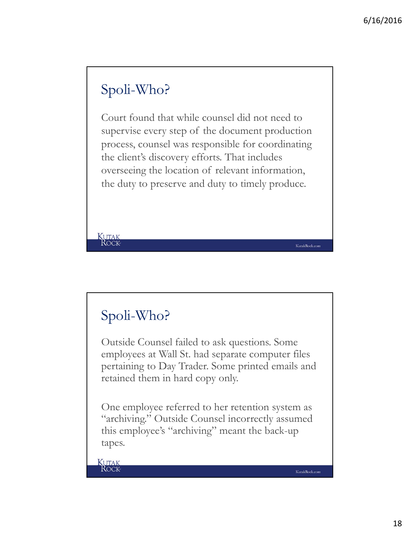## Spoli-Who?

Court found that while counsel did not need to supervise every step of the document production process, counsel was responsible for coordinating the client's discovery efforts. That includes overseeing the location of relevant information, the duty to preserve and duty to timely produce.

#### Spoli-Who?

**KUTAK**<br>ROCK

Outside Counsel failed to ask questions. Some employees at Wall St. had separate computer files pertaining to Day Trader. Some printed emails and retained them in hard copy only.

One employee referred to her retention system as "archiving." Outside Counsel incorrectly assumed this employee's "archiving" meant the back-up tapes.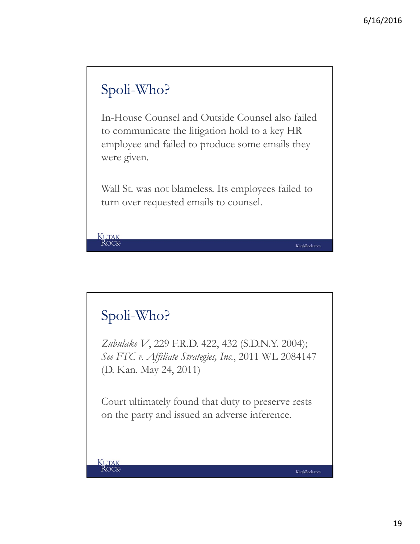## Spoli-Who?

In-House Counsel and Outside Counsel also failed to communicate the litigation hold to a key HR employee and failed to produce some emails they were given.

Wall St. was not blameless. Its employees failed to turn over requested emails to counsel.

#### Spoli-Who?

**KUTAK**<br>ROCK

*Zubulake V*, 229 F.R.D. 422, 432 (S.D.N.Y. 2004); *See FTC v. Affiliate Strategies, Inc.*, 2011 WL 2084147 (D. Kan. May 24, 2011)

Court ultimately found that duty to preserve rests on the party and issued an adverse inference.

**KUTAK**<br>ROCK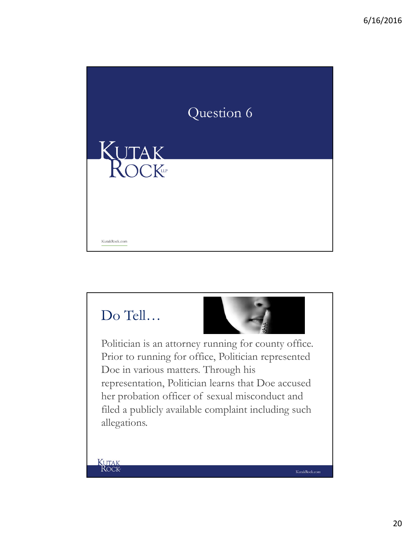

## Do Tell…



KutakRock.com

Politician is an attorney running for county office. Prior to running for office, Politician represented Doe in various matters. Through his representation, Politician learns that Doe accused her probation officer of sexual misconduct and filed a publicly available complaint including such allegations.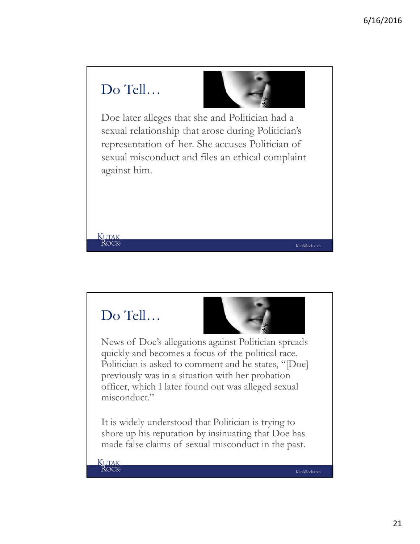#### Do Tell…



Doe later alleges that she and Politician had a sexual relationship that arose during Politician's representation of her. She accuses Politician of sexual misconduct and files an ethical complaint against him.

#### Do Tell…

**KUTAK**<br>ROCK



News of Doe's allegations against Politician spreads quickly and becomes a focus of the political race. Politician is asked to comment and he states, "[Doe] previously was in a situation with her probation officer, which I later found out was alleged sexual misconduct."

It is widely understood that Politician is trying to shore up his reputation by insinuating that Doe has made false claims of sexual misconduct in the past.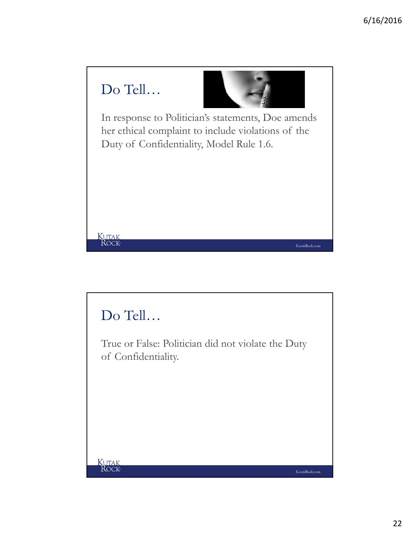

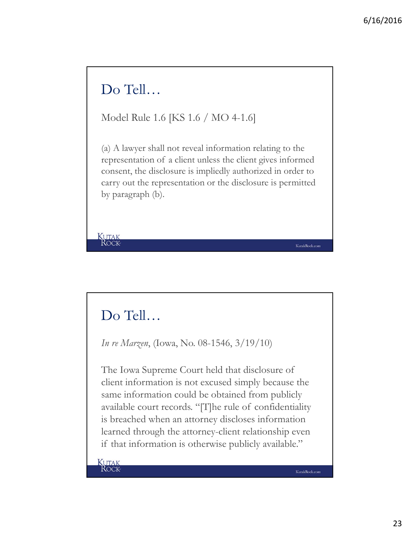#### Do Tell…

Model Rule 1.6 [KS 1.6 / MO 4-1.6]

(a) A lawyer shall not reveal information relating to the representation of a client unless the client gives informed consent, the disclosure is impliedly authorized in order to carry out the representation or the disclosure is permitted by paragraph (b).

#### Do Tell…

**KUTAK**<br>ROCK

*In re Marzen*, (Iowa, No. 08-1546, 3/19/10)

The Iowa Supreme Court held that disclosure of client information is not excused simply because the same information could be obtained from publicly available court records. "[T]he rule of confidentiality is breached when an attorney discloses information learned through the attorney-client relationship even if that information is otherwise publicly available."

KUTAK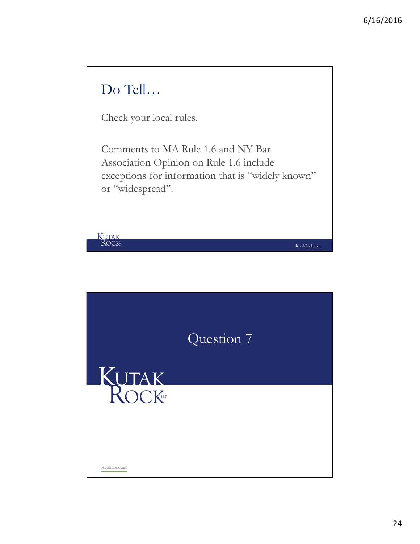

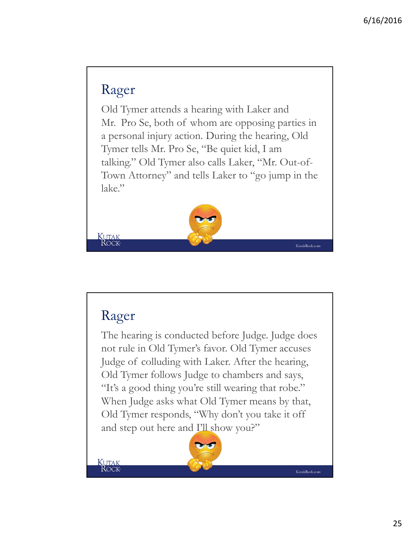#### Rager

Old Tymer attends a hearing with Laker and Mr. Pro Se, both of whom are opposing parties in a personal injury action. During the hearing, Old Tymer tells Mr. Pro Se, "Be quiet kid, I am talking." Old Tymer also calls Laker, "Mr. Out-of-Town Attorney" and tells Laker to "go jump in the lake."



#### Rager

The hearing is conducted before Judge. Judge does not rule in Old Tymer's favor. Old Tymer accuses Judge of colluding with Laker. After the hearing, Old Tymer follows Judge to chambers and says, "It's a good thing you're still wearing that robe." When Judge asks what Old Tymer means by that, Old Tymer responds, "Why don't you take it off and step out here and I'll show you?"

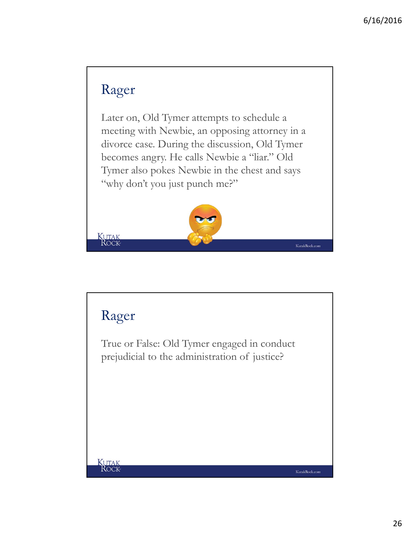## Rager

Later on, Old Tymer attempts to schedule a meeting with Newbie, an opposing attorney in a divorce case. During the discussion, Old Tymer becomes angry. He calls Newbie a "liar." Old Tymer also pokes Newbie in the chest and says "why don't you just punch me?"



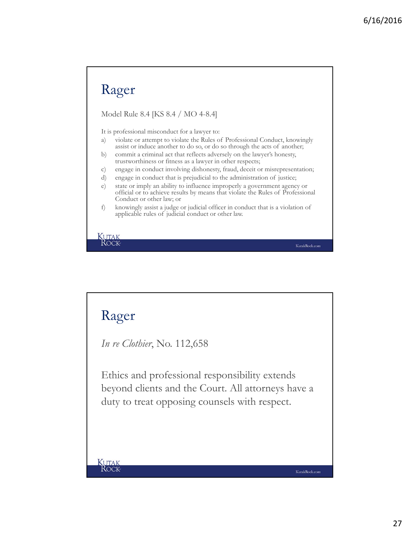#### Rager

Model Rule 8.4 [KS 8.4 / MO 4-8.4]

It is professional misconduct for a lawyer to:

- a) violate or attempt to violate the Rules of Professional Conduct, knowingly assist or induce another to do so, or do so through the acts of another;
- b) commit a criminal act that reflects adversely on the lawyer's honesty, trustworthiness or fitness as a lawyer in other respects;
- c) engage in conduct involving dishonesty, fraud, deceit or misrepresentation;
- d) engage in conduct that is prejudicial to the administration of justice;

KutakRock.com

KutakRock.com

KUTAK<br>ROCK

#### Rager

*In re Clothier*, No. 112,658

Ethics and professional responsibility extends beyond clients and the Court. All attorneys have a duty to treat opposing counsels with respect.

e) state or imply an ability to influence improperly a government agency or official or to achieve results by means that violate the Rules of Professional Conduct or other law; or

f) knowingly assist a judge or judicial officer in conduct that is a violation of applicable rules of judicial conduct or other law.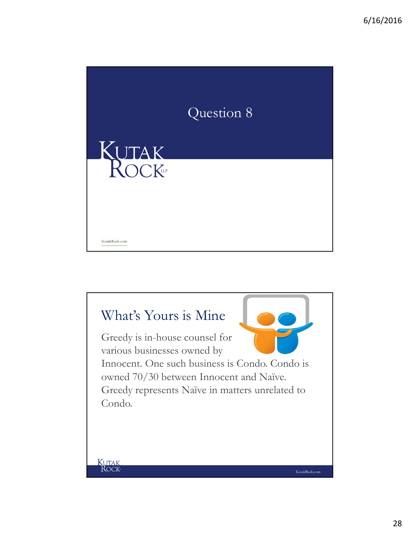

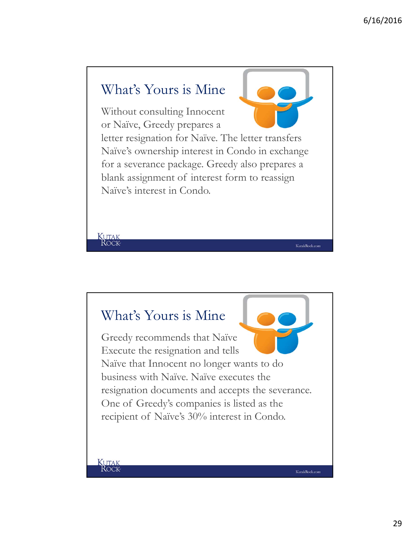#### What's Yours is Mine

Without consulting Innocent or Naïve, Greedy prepares a

letter resignation for Naïve. The letter transfers Naïve's ownership interest in Condo in exchange for a severance package. Greedy also prepares a blank assignment of interest form to reassign Naïve's interest in Condo.

KutakRock.com

KutakRock.com

#### What's Yours is Mine

Greedy recommends that Naïve Execute the resignation and tells Naïve that Innocent no longer wants to do business with Naïve. Naïve executes the resignation documents and accepts the severance. One of Greedy's companies is listed as the recipient of Naïve's 30% interest in Condo.

**KUTAK**<br>ROCK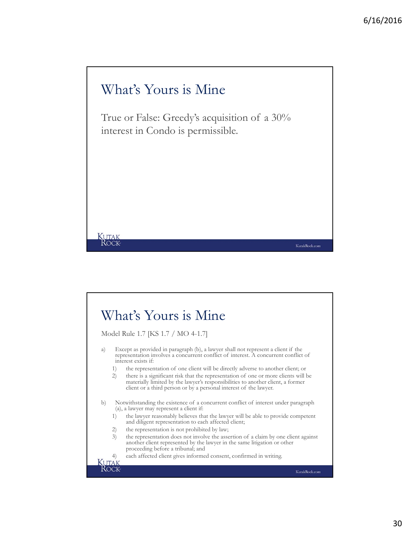KutakRock.com

#### What's Yours is Mine

KUTAK<br>ROCK

True or False: Greedy's acquisition of a 30% interest in Condo is permissible.

#### What's Yours is Mine Model Rule 1.7 [KS 1.7 / MO 4-1.7] a) Except as provided in paragraph (b), a lawyer shall not represent a client if the representation involves a concurrent conflict of interest. A concurrent conflict of interest exists if: 1) the representation of one client will be directly adverse to another client; or 2) there is a significant risk that the representation of one or more clients will be materially limited by the lawyer's responsibilities to another client, a former client or a third person or by a personal interest of the lawyer. b) Notwithstanding the existence of a concurrent conflict of interest under paragraph (a), a lawyer may represent a client if: 1) the lawyer reasonably believes that the lawyer will be able to provide competent and diligent representation to each affected client; 2) the representation is not prohibited by law; 3) the representation does not involve the assertion of a claim by one client against another client represented by the lawyer in the same litigation or other proceeding before a tribunal; and 4) each affected client gives informed consent, confirmed in writing. $\overline{\text{UT}}$ AK ROCK KutakRock.com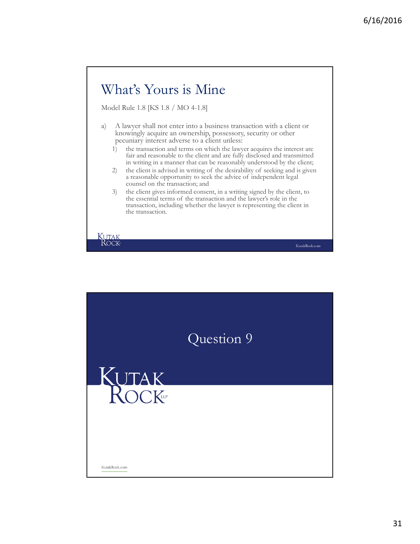# What's Yours is Mine

Model Rule 1.8 [KS 1.8 / MO 4-1.8]

- a) A lawyer shall not enter into a business transaction with a client or knowingly acquire an ownership, possessory, security or other pecuniary interest adverse to a client unless:
	- 1) the transaction and terms on which the lawyer acquires the interest are fair and reasonable to the client and are fully disclosed and transmitted in writing in a manner that can be reasonably understood by the client;
	- 2) the client is advised in writing of the desirability of seeking and is given a reasonable opportunity to seek the advice of independent legal counsel on the transaction; and
	- 3) the client gives informed consent, in a writing signed by the client, to the essential terms of the transaction and the lawyer's role in the transaction, including whether the lawyer is representing the client in the transaction.



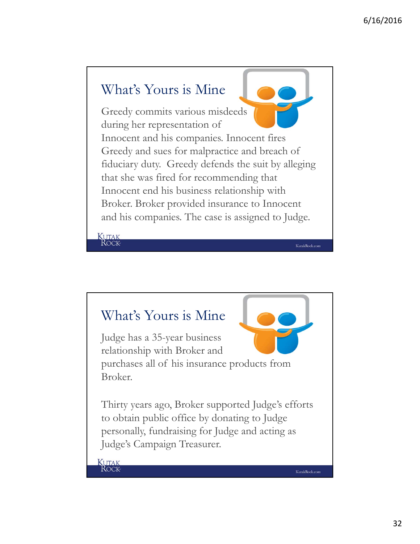#### What's Yours is Mine Greedy commits various misdeeds during her representation of Innocent and his companies. Innocent fires Greedy and sues for malpractice and breach of fiduciary duty. Greedy defends the suit by alleging that she was fired for recommending that Innocent end his business relationship with Broker. Broker provided insurance to Innocent and his companies. The case is assigned to Judge. **KUTAK**<br>ROCK KutakRock.com

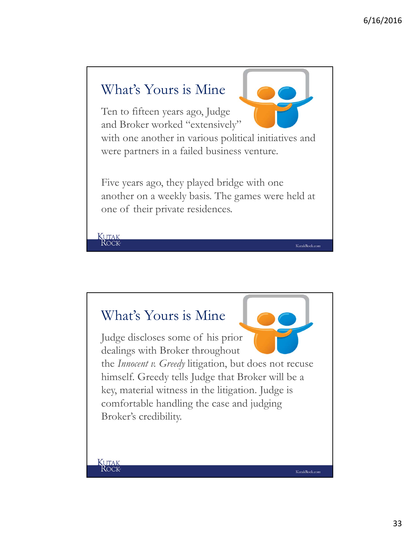

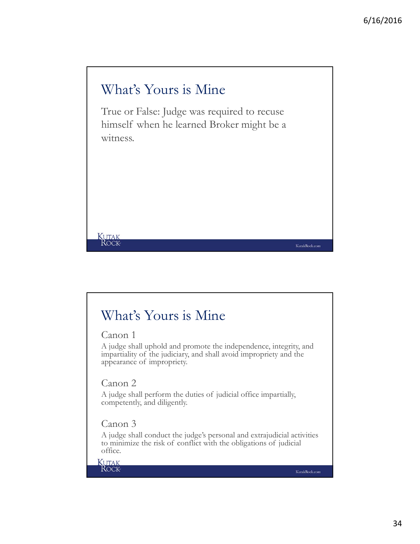

#### What's Yours is Mine

Canon 1

A judge shall uphold and promote the independence, integrity, and impartiality of the judiciary, and shall avoid impropriety and the appearance of impropriety.

Canon 2

A judge shall perform the duties of judicial office impartially, competently, and diligently.

#### Canon 3

A judge shall conduct the judge's personal and extrajudicial activities to minimize the risk of conflict with the obligations of judicial office.

**KUTAK**<br>ROCK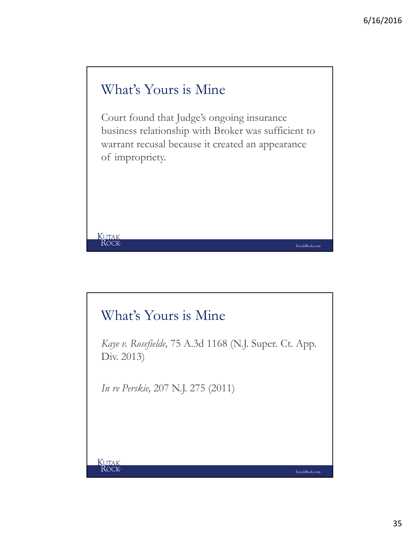#### What's Yours is Mine

Court found that Judge's ongoing insurance business relationship with Broker was sufficient to warrant recusal because it created an appearance of impropriety.

#### What's Yours is Mine

*Kaye v. Rosefielde,* 75 A.3d 1168 (N.J. Super. Ct. App. Div. 2013)

*In re Perskie,* 207 N.J. 275 (2011)

KUTAK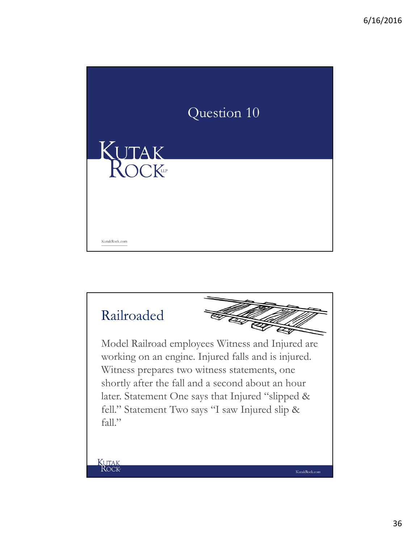

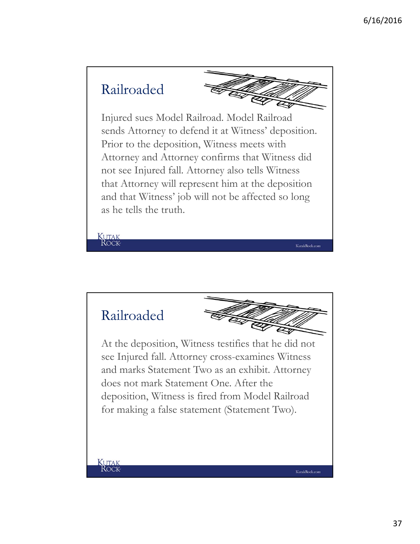

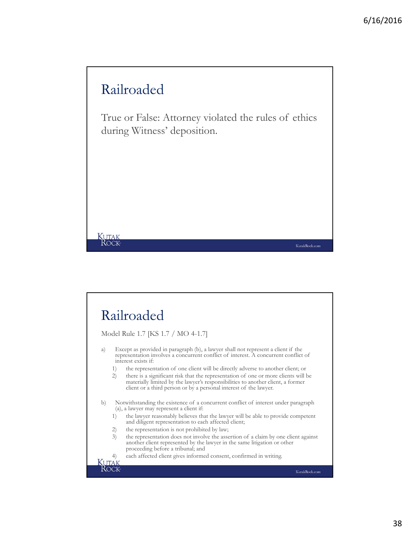#### Railroaded

KUTAK<br>ROCK

ROCK

True or False: Attorney violated the rules of ethics during Witness' deposition.

#### Railroaded Model Rule 1.7 [KS 1.7 / MO 4-1.7] a) Except as provided in paragraph (b), a lawyer shall not represent a client if the representation involves a concurrent conflict of interest. A concurrent conflict of interest exists if: 1) the representation of one client will be directly adverse to another client; or

2) there is a significant risk that the representation of one or more clients will be materially limited by the lawyer's responsibilities to another client, a former client or a third person or by a personal interest of the lawyer.

b) Notwithstanding the existence of a concurrent conflict of interest under paragraph (a), a lawyer may represent a client if:

- 1) the lawyer reasonably believes that the lawyer will be able to provide competent and diligent representation to each affected client;
- 2) the representation is not prohibited by law;
- 3) the representation does not involve the assertion of a claim by one client against another client represented by the lawyer in the same litigation or other proceeding before a tribunal; and
- 4) each affected client gives informed consent, confirmed in writing.**KUTAK**

KutakRock.com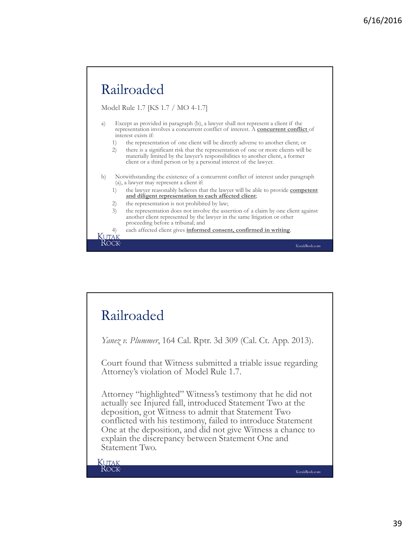

#### Railroaded

*Yanez v. Plummer*, 164 Cal. Rptr. 3d 309 (Cal. Ct. App. 2013).

Court found that Witness submitted a triable issue regarding Attorney's violation of Model Rule 1.7.

Attorney "highlighted" Witness's testimony that he did not actually see Injured fall, introduced Statement Two at the deposition, got Witness to admit that Statement Two conflicted with his testimony, failed to introduce Statement One at the deposition, and did not give Witness a chance to explain the discrepancy between Statement One and Statement Two.

KUTAK ROCK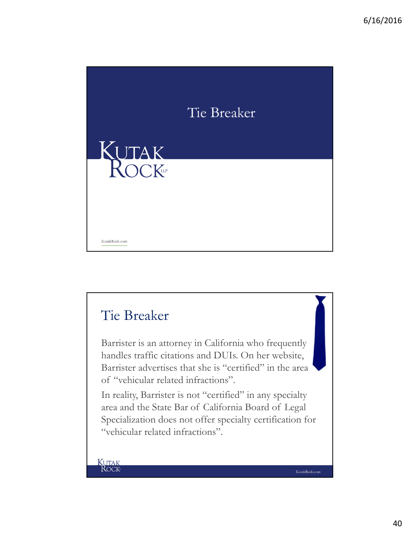

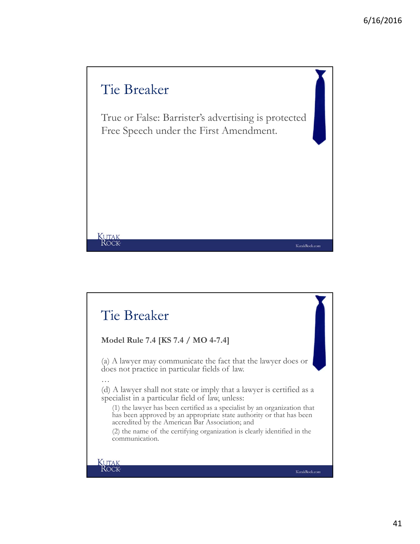